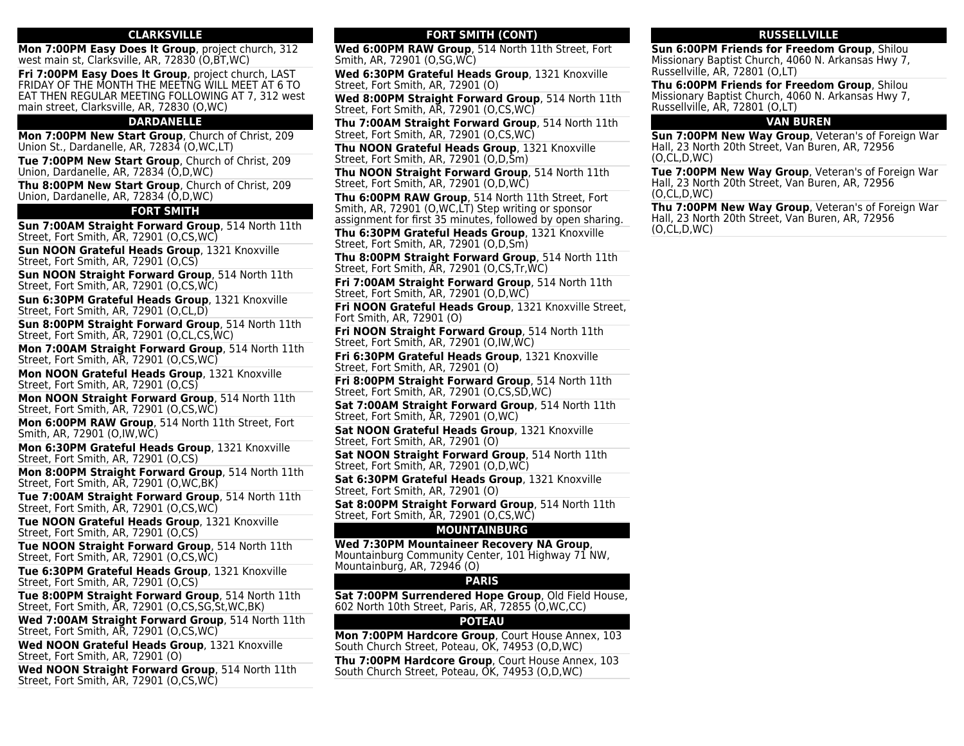### **CLARKSVILLE**

**Mon 7:00PM Easy Does It Group**, project church, 312 west main st, Clarksville, AR, 72830 (O,BT,WC)

**Fri 7:00PM Easy Does It Group**, project church, LAST FRIDAY OF THE MONTH THE MEETNG WILL MEET AT 6 TO EAT THEN REGULAR MEETING FOLLOWING AT 7, 312 west main street, Clarksville, AR, 72830 (O,WC)

## **DARDANELLE**

**Mon 7:00PM New Start Group**, Church of Christ, 209 Union St., Dardanelle, AR, 72834 (O,WC,LT)

**Tue 7:00PM New Start Group**, Church of Christ, 209 Union, Dardanelle, AR, 72834 (O,D,WC)

**Thu 8:00PM New Start Group**, Church of Christ, 209 Union, Dardanelle, AR, 72834 (O,D,WC)

#### **FORT SMITH**

**Sun 7:00AM Straight Forward Group**, 514 North 11th Street, Fort Smith, AR, 72901 (O,CS,WC)

**Sun NOON Grateful Heads Group**, 1321 Knoxville Street, Fort Smith, AR, 72901 (O,CS)

**Sun NOON Straight Forward Group**, 514 North 11th Street, Fort Smith, AR, 72901 (O,CS,WC)

**Sun 6:30PM Grateful Heads Group**, 1321 Knoxville Street, Fort Smith, AR, 72901 (O,CL,D)

**Sun 8:00PM Straight Forward Group**, 514 North 11th Street, Fort Smith, AR, 72901 (O,CL,CS,WC)

**Mon 7:00AM Straight Forward Group**, 514 North 11th Street, Fort Smith, AR, 72901 (O,CS,WC)

**Mon NOON Grateful Heads Group**, 1321 Knoxville Street, Fort Smith, AR, 72901 (O,CS)

**Mon NOON Straight Forward Group**, 514 North 11th Street, Fort Smith, AR, 72901 (O,CS,WC)

**Mon 6:00PM RAW Group**, 514 North 11th Street, Fort Smith, AR, 72901 (O,IW,WC)

**Mon 6:30PM Grateful Heads Group**, 1321 Knoxville Street, Fort Smith, AR, 72901 (O,CS)

**Mon 8:00PM Straight Forward Group**, 514 North 11th Street, Fort Smith, AR, 72901 (O,WC,BK)

**Tue 7:00AM Straight Forward Group**, 514 North 11th Street, Fort Smith, AR, 72901 (O,CS,WC)

**Tue NOON Grateful Heads Group**, 1321 Knoxville Street, Fort Smith, AR, 72901 (O,CS)

**Tue NOON Straight Forward Group**, 514 North 11th Street, Fort Smith, AR, 72901 (O,CS,WC)

**Tue 6:30PM Grateful Heads Group**, 1321 Knoxville Street, Fort Smith, AR, 72901 (O,CS)

**Tue 8:00PM Straight Forward Group**, 514 North 11th Street, Fort Smith, AR, 72901 (O,CS,SG,St,WC,BK)

**Wed 7:00AM Straight Forward Group**, 514 North 11th Street, Fort Smith, AR, 72901 (O,CS,WC)

**Wed NOON Grateful Heads Group**, 1321 Knoxville Street, Fort Smith, AR, 72901 (O)

**Wed NOON Straight Forward Group**, 514 North 11th Street, Fort Smith, AR, 72901 (O,CS,WC)

## **FORT SMITH (CONT)**

**Wed 6:00PM RAW Group**, 514 North 11th Street, Fort Smith, AR, 72901 (O,SG,WC)

**Wed 6:30PM Grateful Heads Group**, 1321 Knoxville Street, Fort Smith, AR, 72901 (O)

**Wed 8:00PM Straight Forward Group**, 514 North 11th Street, Fort Smith, AR, 72901 (O,CS,WC)

**Thu 7:00AM Straight Forward Group**, 514 North 11th Street, Fort Smith, AR, 72901 (O,CS,WC)

**Thu NOON Grateful Heads Group**, 1321 Knoxville Street, Fort Smith, AR, 72901 (O,D,Sm)

**Thu NOON Straight Forward Group**, 514 North 11th Street, Fort Smith, AR, 72901 (O,D,WC)

**Thu 6:00PM RAW Group**, 514 North 11th Street, Fort Smith, AR, 72901 (O,WC,LT) Step writing or sponsor assignment for first 35 minutes, followed by open sharing.

**Thu 6:30PM Grateful Heads Group**, 1321 Knoxville Street, Fort Smith, AR, 72901 (O,D,Sm)

**Thu 8:00PM Straight Forward Group**, 514 North 11th Street, Fort Smith, AR, 72901 (O,CS,Tr,WC)

**Fri 7:00AM Straight Forward Group**, 514 North 11th Street, Fort Smith, AR, 72901 (O,D,WC)

**Fri NOON Grateful Heads Group**, 1321 Knoxville Street, Fort Smith, AR, 72901 (O)

**Fri NOON Straight Forward Group**, 514 North 11th Street, Fort Smith, AR, 72901 (O,IW,WC)

**Fri 6:30PM Grateful Heads Group**, 1321 Knoxville Street, Fort Smith, AR, 72901 (O)

**Fri 8:00PM Straight Forward Group**, 514 North 11th Street, Fort Smith, AR, 72901 (O,CS,SD,WC)

**Sat 7:00AM Straight Forward Group**, 514 North 11th Street, Fort Smith, AR, 72901 (O,WC)

**Sat NOON Grateful Heads Group**, 1321 Knoxville Street, Fort Smith, AR, 72901 (O)

**Sat NOON Straight Forward Group**, 514 North 11th Street, Fort Smith, AR, 72901 (O,D,WC)

**Sat 6:30PM Grateful Heads Group**, 1321 Knoxville Street, Fort Smith, AR, 72901 (O)

**Sat 8:00PM Straight Forward Group**, 514 North 11th Street, Fort Smith, AR, 72901 (O,CS,WC)

#### **MOUNTAINBURG**

**Wed 7:30PM Mountaineer Recovery NA Group**, Mountainburg Community Center, 101 Highway 71 NW, Mountainburg, AR, 72946 (O)

### **PARIS**

**Sat 7:00PM Surrendered Hope Group**, Old Field House, 602 North 10th Street, Paris, AR, 72855 (O,WC,CC)

# **POTEAU**

**Mon 7:00PM Hardcore Group**, Court House Annex, 103 South Church Street, Poteau, OK, 74953 (O,D,WC)

**Thu 7:00PM Hardcore Group**, Court House Annex, 103 South Church Street, Poteau, OK, 74953 (O,D,WC)

#### **RUSSELLVILLE**

**Sun 6:00PM Friends for Freedom Group**, Shilou Missionary Baptist Church, 4060 N. Arkansas Hwy 7, Russellville, AR, 72801 (O,LT)

**Thu 6:00PM Friends for Freedom Group**, Shilou Missionary Baptist Church, 4060 N. Arkansas Hwy 7, Russellville, AR, 72801 (O,LT)

#### **VAN BUREN**

**Sun 7:00PM New Way Group**, Veteran's of Foreign War Hall, 23 North 20th Street, Van Buren, AR, 72956 (O,CL,D,WC)

**Tue 7:00PM New Way Group**, Veteran's of Foreign War Hall, 23 North 20th Street, Van Buren, AR, 72956 (O,CL,D,WC)

**Thu 7:00PM New Way Group**, Veteran's of Foreign War Hall, 23 North 20th Street, Van Buren, AR, 72956 (O,CL,D,WC)